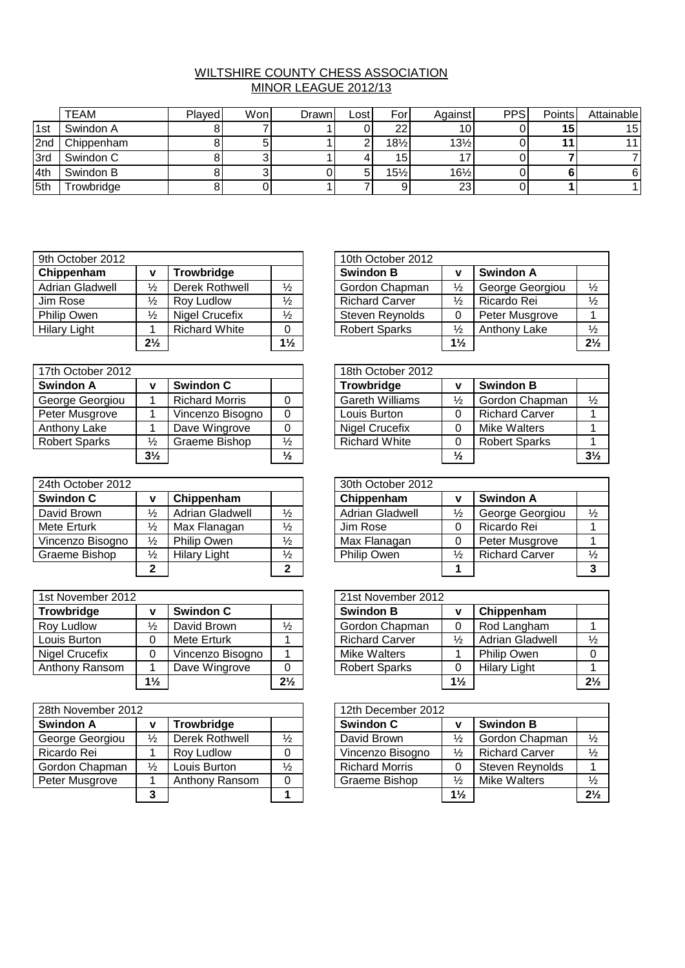## WILTSHIRE COUNTY CHESS ASSOCIATION MINOR LEAGUE 2012/13

|     | <b>TEAM</b>            | Plaved | Won | Drawnl | Lost | Forl            | Against         | <b>PPS</b> | Points | Attainable |
|-----|------------------------|--------|-----|--------|------|-----------------|-----------------|------------|--------|------------|
| 1st | Swindon A              |        |     |        |      | ົ               | 10              |            | 15     | 15         |
| 2nd | Chippenham             |        |     |        |      | $18\frac{1}{2}$ | $13\frac{1}{2}$ |            |        | 11         |
| 3rd | Swindon C              |        |     |        |      | 15              |                 |            |        |            |
| 4th | Swindon B              |        |     |        |      | 15%             | $16\frac{1}{2}$ |            |        | 6          |
| 5th | rowbridge <sup>-</sup> |        |     |        |      |                 | 23              |            |        |            |

| 9th October 2012    |                |                      |                | 10th October 2012     |                |                  |                |
|---------------------|----------------|----------------------|----------------|-----------------------|----------------|------------------|----------------|
| Chippenham          | v              | Trowbridge           |                | <b>Swindon B</b>      | ν              | <b>Swindon A</b> |                |
| Adrian Gladwell     | $\frac{1}{2}$  | Derek Rothwell       | ⅓              | Gordon Chapman        | $\frac{1}{2}$  | George Georgiou  | $\frac{1}{2}$  |
| Jim Rose            | $\frac{1}{2}$  | Roy Ludlow           | $\frac{1}{2}$  | <b>Richard Carver</b> | $\frac{1}{2}$  | Ricardo Rei      | $\frac{1}{2}$  |
| Philip Owen         | $\frac{1}{2}$  | Nigel Crucefix       | $\frac{1}{2}$  | Steven Reynolds       |                | Peter Musgrove   |                |
| <b>Hilary Light</b> |                | <b>Richard White</b> | 0              | <b>Robert Sparks</b>  | $\frac{1}{2}$  | Anthony Lake     | $\frac{1}{2}$  |
|                     | $2\frac{1}{2}$ |                      | $1\frac{1}{2}$ |                       | $1\frac{1}{2}$ |                  | 2 <sup>1</sup> |

| 17th October 2012    |                |                       |               | 18th October 2012      |               |                       |                |
|----------------------|----------------|-----------------------|---------------|------------------------|---------------|-----------------------|----------------|
| <b>Swindon A</b>     | v              | <b>Swindon C</b>      |               | Trowbridge             |               | <b>Swindon B</b>      |                |
| George Georgiou      |                | <b>Richard Morris</b> |               | <b>Gareth Williams</b> | $\frac{1}{2}$ | Gordon Chapman        | $\frac{1}{2}$  |
| Peter Musgrove       |                | Vincenzo Bisogno      | 0             | Louis Burton           |               | <b>Richard Carver</b> |                |
| Anthony Lake         |                | Dave Wingrove         |               | <b>Nigel Crucefix</b>  |               | Mike Walters          |                |
| <b>Robert Sparks</b> | $\frac{1}{2}$  | Graeme Bishop         | ⅛             | <b>Richard White</b>   |               | <b>Robert Sparks</b>  |                |
|                      | $3\frac{1}{2}$ |                       | $\frac{1}{2}$ |                        | $\frac{1}{2}$ |                       | 3 <sup>1</sup> |

| 24th October 2012 |               |                     |               | 30th October 2012      |               |                       |               |
|-------------------|---------------|---------------------|---------------|------------------------|---------------|-----------------------|---------------|
| <b>Swindon C</b>  | v             | Chippenham          |               | Chippenham             | v             | <b>Swindon A</b>      |               |
| David Brown       | $\frac{1}{2}$ | Adrian Gladwell     | $\frac{1}{2}$ | <b>Adrian Gladwell</b> | $\frac{1}{2}$ | George Georgiou       | $\frac{1}{2}$ |
| Mete Erturk       | $\frac{1}{2}$ | Max Flanagan        | $\frac{1}{2}$ | Jim Rose               |               | Ricardo Rei           |               |
| Vincenzo Bisogno  | $\frac{1}{2}$ | Philip Owen         | $\frac{1}{2}$ | Max Flanagan           |               | Peter Musgrove        |               |
| Graeme Bishop     | $\frac{1}{2}$ | <b>Hilary Light</b> | $\frac{1}{2}$ | Philip Owen            | $\frac{1}{2}$ | <b>Richard Carver</b> | $\frac{1}{2}$ |
|                   | ົ             |                     | າ             |                        |               |                       |               |

| 1st November 2012 |                |                    |                | 21st November 2012    |                |                        |                |
|-------------------|----------------|--------------------|----------------|-----------------------|----------------|------------------------|----------------|
| Trowbridge        | v              | <b>Swindon C</b>   |                | <b>Swindon B</b>      | ν              | Chippenham             |                |
| Roy Ludlow        | $\frac{1}{2}$  | David Brown        | $\frac{1}{2}$  | Gordon Chapman        |                | Rod Langham            |                |
| Louis Burton      | ∩              | <b>Mete Erturk</b> |                | <b>Richard Carver</b> | $\frac{1}{2}$  | <b>Adrian Gladwell</b> | $\frac{1}{2}$  |
| Nigel Crucefix    | ∩              | Vincenzo Bisogno   |                | Mike Walters          |                | <b>Philip Owen</b>     | $\Omega$       |
| Anthony Ransom    |                | Dave Wingrove      |                | <b>Robert Sparks</b>  |                | <b>Hilary Light</b>    |                |
|                   | $1\frac{1}{2}$ |                    | $2\frac{1}{2}$ |                       | $1\frac{1}{2}$ |                        | 2 <sup>1</sup> |

| 28th November 2012 |                 |                |               |  | 12th December 2012    |                |                       |                |
|--------------------|-----------------|----------------|---------------|--|-----------------------|----------------|-----------------------|----------------|
| <b>Swindon A</b>   | Trowbridge<br>v |                |               |  | Swindon C             | ν              | <b>Swindon B</b>      |                |
| George Georgiou    | $\frac{1}{2}$   | Derek Rothwell | $\frac{1}{2}$ |  | David Brown           | $\frac{1}{2}$  | Gordon Chapman        | $\frac{1}{2}$  |
| Ricardo Rei        |                 | Roy Ludlow     |               |  | Vincenzo Bisogno      | $\frac{1}{2}$  | <b>Richard Carver</b> | $\frac{1}{2}$  |
| Gordon Chapman     | $\frac{1}{2}$   | Louis Burton   | $\frac{1}{2}$ |  | <b>Richard Morris</b> |                | Steven Reynolds       |                |
| Peter Musgrove     |                 | Anthony Ransom | 0             |  | Graeme Bishop         | $\frac{1}{2}$  | Mike Walters          | $\frac{1}{2}$  |
|                    | 3               |                |               |  |                       | $1\frac{1}{2}$ |                       | 2 <sup>1</sup> |

|                |                      |                | 10th October 2012     |                |                  |                |
|----------------|----------------------|----------------|-----------------------|----------------|------------------|----------------|
| $\mathbf v$    | Trowbridge           |                | <b>Swindon B</b>      | v              | <b>Swindon A</b> |                |
| $\frac{1}{2}$  | Derek Rothwell       | ⅓              | Gordon Chapman        | $\frac{1}{2}$  | George Georgiou  | $\frac{1}{2}$  |
| $\frac{1}{2}$  | Roy Ludlow           | $\frac{1}{2}$  | <b>Richard Carver</b> | $\frac{1}{2}$  | Ricardo Rei      | $\frac{1}{2}$  |
| $\frac{1}{2}$  | Nigel Crucefix       | $\frac{1}{2}$  | Steven Reynolds       |                | Peter Musgrove   |                |
|                | <b>Richard White</b> |                | <b>Robert Sparks</b>  | $\frac{1}{2}$  | Anthony Lake     | $\frac{1}{2}$  |
| $2\frac{1}{2}$ |                      | $1\frac{1}{2}$ |                       | $1\frac{1}{2}$ |                  | $2\frac{1}{2}$ |

|                |                       |               | 18th October 2012      |               |                       |                |
|----------------|-----------------------|---------------|------------------------|---------------|-----------------------|----------------|
| <b>V</b>       | <b>Swindon C</b>      |               | Trowbridge             | ν             | <b>Swindon B</b>      |                |
|                | <b>Richard Morris</b> |               | <b>Gareth Williams</b> | $\frac{1}{2}$ | Gordon Chapman        | $\frac{1}{2}$  |
|                | Vincenzo Bisogno      |               | Louis Burton           | 0             | <b>Richard Carver</b> |                |
|                | Dave Wingrove         |               | Nigel Crucefix         |               | Mike Walters          |                |
| $\frac{1}{2}$  | Graeme Bishop         | $\frac{1}{2}$ | <b>Richard White</b>   | O             | <b>Robert Sparks</b>  |                |
| $3\frac{1}{2}$ |                       | $\frac{1}{2}$ |                        | $\frac{1}{2}$ |                       | $3\frac{1}{2}$ |

|                |                        |               | 30th October 2012      |               |                       |               |
|----------------|------------------------|---------------|------------------------|---------------|-----------------------|---------------|
| V              | Chippenham             |               | Chippenham             | v             | <b>Swindon A</b>      |               |
| $\frac{1}{2}$  | <b>Adrian Gladwell</b> | $\frac{1}{2}$ | <b>Adrian Gladwell</b> | $\frac{1}{2}$ | George Georgiou       | $\frac{1}{2}$ |
| $\frac{1}{2}$  | Max Flanagan           | $\frac{1}{2}$ | Jim Rose               | 0             | Ricardo Rei           |               |
| $\frac{1}{2}$  | Philip Owen            | $\frac{1}{2}$ | Max Flanagan           | 0             | Peter Musgrove        |               |
| $\frac{1}{2}$  | <b>Hilary Light</b>    | $\frac{1}{2}$ | <b>Philip Owen</b>     | $\frac{1}{2}$ | <b>Richard Carver</b> | $\frac{1}{2}$ |
| $\overline{2}$ |                        | 2             |                        |               |                       | 3             |

|                |                  |                | 21st November 2012    |                |                     |                |
|----------------|------------------|----------------|-----------------------|----------------|---------------------|----------------|
| <b>V</b>       | <b>Swindon C</b> |                | <b>Swindon B</b>      | v              | Chippenham          |                |
| $\frac{1}{2}$  | David Brown      | ⅓              | Gordon Chapman        |                | Rod Langham         |                |
| $\overline{0}$ | Mete Erturk      |                | <b>Richard Carver</b> | $\frac{1}{2}$  | Adrian Gladwell     | $\frac{1}{2}$  |
| $\overline{0}$ | Vincenzo Bisogno |                | Mike Walters          |                | <b>Philip Owen</b>  |                |
|                | Dave Wingrove    |                | <b>Robert Sparks</b>  |                | <b>Hilary Light</b> |                |
| $1\frac{1}{2}$ |                  | $2\frac{1}{2}$ |                       | $1\frac{1}{2}$ |                     | $2\frac{1}{2}$ |

|               |                |               | 12th December 2012    |                |                       |                |
|---------------|----------------|---------------|-----------------------|----------------|-----------------------|----------------|
| V             | Trowbridge     |               | <b>Swindon C</b>      | v              | <b>Swindon B</b>      |                |
| $\frac{1}{2}$ | Derek Rothwell | $\frac{1}{2}$ | David Brown           | $\frac{1}{2}$  | Gordon Chapman        | $\frac{1}{2}$  |
|               | Roy Ludlow     |               | Vincenzo Bisogno      | $\frac{1}{2}$  | <b>Richard Carver</b> | $\frac{1}{2}$  |
| $\frac{1}{2}$ | Louis Burton   | $\frac{1}{2}$ | <b>Richard Morris</b> |                | Steven Reynolds       |                |
|               | Anthony Ransom | 0             | Graeme Bishop         | $\frac{1}{2}$  | Mike Walters          | $\frac{1}{2}$  |
| 3             |                |               |                       | $1\frac{1}{2}$ |                       | $2\frac{1}{2}$ |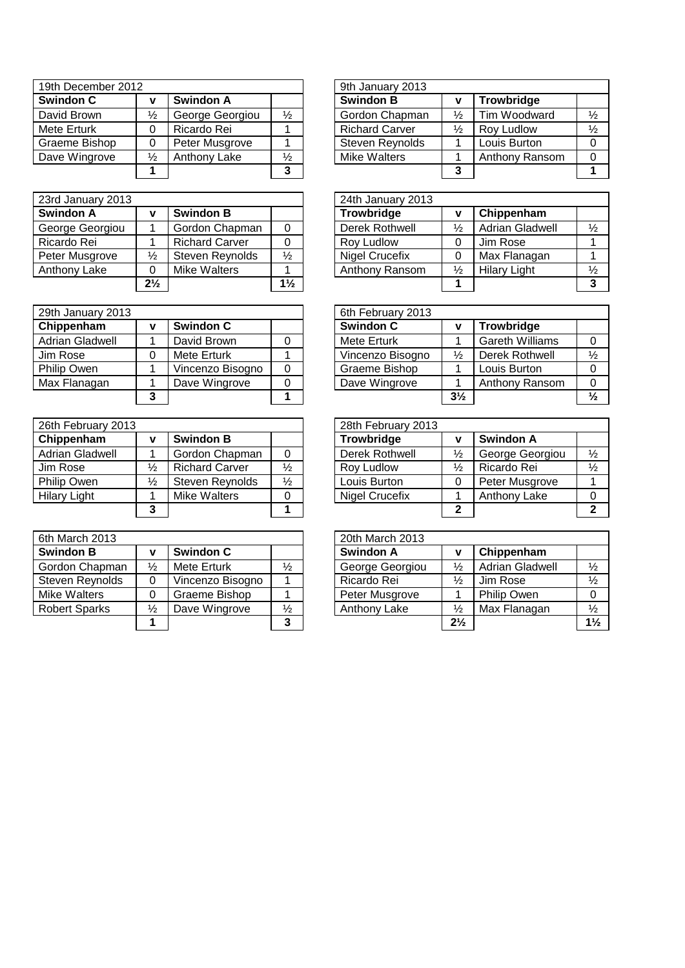| 19th December 2012 |               |                 |               | 9th January 2013      |               |                |               |
|--------------------|---------------|-----------------|---------------|-----------------------|---------------|----------------|---------------|
| <b>Swindon C</b>   |               | Swindon A       |               | <b>Swindon B</b>      |               | Trowbridge     |               |
| David Brown        | $\frac{1}{2}$ | George Georgiou | $\frac{1}{2}$ | Gordon Chapman        | $\frac{1}{2}$ | Tim Woodward   | $\frac{1}{2}$ |
| Mete Erturk        | 0             | Ricardo Rei     |               | <b>Richard Carver</b> | $\frac{1}{2}$ | Roy Ludlow     | $\frac{1}{2}$ |
| Graeme Bishop      | 0             | Peter Musgrove  |               | Steven Reynolds       |               | Louis Burton   | $\Omega$      |
| Dave Wingrove      | $\frac{1}{2}$ | Anthony Lake    | $\frac{1}{2}$ | Mike Walters          |               | Anthony Ransom | $\Omega$      |
|                    |               |                 | 3             |                       |               |                |               |

| 23rd January 2013 |                |                       |                | 24th January 2013     |               |                        |               |
|-------------------|----------------|-----------------------|----------------|-----------------------|---------------|------------------------|---------------|
| Swindon A         |                | <b>Swindon B</b>      |                | Trowbridge            |               | Chippenham             |               |
| George Georgiou   |                | Gordon Chapman        |                | Derek Rothwell        | ⅓             | <b>Adrian Gladwell</b> | $\frac{1}{2}$ |
| Ricardo Rei       |                | <b>Richard Carver</b> | 0              | Roy Ludlow            |               | Jim Rose               |               |
| Peter Musgrove    | $\frac{1}{2}$  | Steven Reynolds       | $\frac{1}{2}$  | <b>Nigel Crucefix</b> |               | Max Flanagan           |               |
| Anthony Lake      | 0              | Mike Walters          |                | Anthony Ransom        | $\frac{1}{2}$ | <b>Hilary Light</b>    | $\frac{1}{2}$ |
|                   | $2\frac{1}{2}$ |                       | $1\frac{1}{2}$ |                       |               |                        | 3             |

| 29th January 2013      |   |                  |          | 6th February 2013 |                |                        |               |  |  |
|------------------------|---|------------------|----------|-------------------|----------------|------------------------|---------------|--|--|
| Chippenham             | v | <b>Swindon C</b> |          | <b>Swindon C</b>  |                | Trowbridge             |               |  |  |
| <b>Adrian Gladwell</b> |   | David Brown      |          | Mete Erturk       |                | <b>Gareth Williams</b> | -0            |  |  |
| Jim Rose               |   | Mete Erturk      |          | Vincenzo Bisogno  | $\frac{1}{2}$  | Derek Rothwell         | $\frac{1}{2}$ |  |  |
| Philip Owen            |   | Vincenzo Bisogno | $\Omega$ | Graeme Bishop     |                | Louis Burton           | $\Omega$      |  |  |
| Max Flanagan           |   | Dave Wingrove    | 0        | Dave Wingrove     |                | Anthony Ransom         | $\Omega$      |  |  |
|                        | 3 |                  |          |                   | $3\frac{1}{2}$ |                        | $\frac{1}{2}$ |  |  |
|                        |   |                  |          |                   |                |                        |               |  |  |

| 26th February 2013  |               |                       |               | 28th February 2013    |               |                  |               |
|---------------------|---------------|-----------------------|---------------|-----------------------|---------------|------------------|---------------|
| Chippenham          | v             | <b>Swindon B</b>      |               | <b>Trowbridge</b>     |               | <b>Swindon A</b> |               |
| Adrian Gladwell     |               | Gordon Chapman        |               | Derek Rothwell        | $\frac{1}{2}$ | George Georgiou  | $\frac{1}{2}$ |
| Jim Rose            | ⅓             | <b>Richard Carver</b> | $\frac{1}{2}$ | Rov Ludlow            | $\frac{1}{2}$ | Ricardo Rei      | $\frac{1}{2}$ |
| <b>Philip Owen</b>  | $\frac{1}{2}$ | Steven Reynolds       | $\frac{1}{2}$ | Louis Burton          |               | Peter Musgrove   |               |
| <b>Hilary Light</b> |               | Mike Walters          | 0             | <b>Nigel Crucefix</b> |               | Anthony Lake     | $\Omega$      |
|                     | 3             |                       |               |                       |               |                  |               |

| 6th March 2013       |               |                  |               | 20th March 2013  |                |                        |                |
|----------------------|---------------|------------------|---------------|------------------|----------------|------------------------|----------------|
| <b>Swindon B</b>     |               | <b>Swindon C</b> |               | <b>Swindon A</b> | ν              | Chippenham             |                |
| Gordon Chapman       | $\frac{1}{2}$ | Mete Erturk      | $\frac{1}{2}$ | George Georgiou  | $\frac{1}{2}$  | <b>Adrian Gladwell</b> | $\frac{1}{2}$  |
| Steven Reynolds      | 0             | Vincenzo Bisogno |               | Ricardo Rei      | $\frac{1}{2}$  | Jim Rose               | $\frac{1}{2}$  |
| Mike Walters         | 0             | Graeme Bishop    |               | Peter Musgrove   |                | Philip Owen            | $\Omega$       |
| <b>Robert Sparks</b> | $\frac{1}{2}$ | Dave Wingrove    | $\frac{1}{2}$ | Anthony Lake     | $\frac{1}{2}$  | Max Flanagan           | $\frac{1}{2}$  |
|                      |               |                  | 3             |                  | $2\frac{1}{2}$ |                        | 1 <sup>1</sup> |
|                      |               |                  |               |                  |                |                        |                |

|                  |               | 9th January 2013      |                |                |               |
|------------------|---------------|-----------------------|----------------|----------------|---------------|
| <b>Swindon A</b> |               | <b>Swindon B</b>      | ν              | Trowbridge     |               |
| George Georgiou  | $\frac{1}{2}$ |                       | $\frac{1}{2}$  | Tim Woodward   | $\frac{1}{2}$ |
| Ricardo Rei      |               | <b>Richard Carver</b> | $\frac{1}{2}$  | Roy Ludlow     | $\frac{1}{2}$ |
| Peter Musgrove   |               | Steven Reynolds       |                | Louis Burton   |               |
| Anthony Lake     | $\frac{1}{2}$ | <b>Mike Walters</b>   |                | Anthony Ransom |               |
|                  | 3             |                       | 3              |                |               |
|                  |               |                       | Gordon Chapman |                |               |

|                |                       |                | 24th January 2013     |               |                        |               |
|----------------|-----------------------|----------------|-----------------------|---------------|------------------------|---------------|
| v              | <b>Swindon B</b>      |                | Trowbridge            | ν             | Chippenham             |               |
|                | Gordon Chapman        |                | Derek Rothwell        | $\frac{1}{2}$ | <b>Adrian Gladwell</b> | $\frac{1}{2}$ |
|                | <b>Richard Carver</b> |                | Roy Ludlow            |               | Jim Rose               |               |
| $\frac{1}{2}$  | Steven Reynolds       | $\frac{1}{2}$  | <b>Nigel Crucefix</b> |               | Max Flanagan           |               |
| $\Omega$       | Mike Walters          |                | Anthony Ransom        | $\frac{1}{2}$ | <b>Hilary Light</b>    | $\frac{1}{2}$ |
| $2\frac{1}{2}$ |                       | $1\frac{1}{2}$ |                       |               |                        | 3             |

| 6th February 2013 |                |                        |               |
|-------------------|----------------|------------------------|---------------|
| <b>Swindon C</b>  | v              | Trowbridge             |               |
| Mete Erturk       |                | <b>Gareth Williams</b> |               |
| Vincenzo Bisogno  | ⅓              | Derek Rothwell         | $\frac{1}{2}$ |
| Graeme Bishop     |                | Louis Burton           |               |
| Dave Wingrove     |                | Anthony Ransom         | O             |
|                   | $3\frac{1}{2}$ |                        | ⅓             |

|               |                       |               | 28th February 2013    |               |                  |               |
|---------------|-----------------------|---------------|-----------------------|---------------|------------------|---------------|
| V             | <b>Swindon B</b>      |               | Trowbridge            |               | <b>Swindon A</b> |               |
|               | Gordon Chapman        |               | Derek Rothwell        | $\frac{1}{2}$ | George Georgiou  | $\frac{1}{2}$ |
| $\frac{1}{2}$ | <b>Richard Carver</b> | $\frac{1}{2}$ | Roy Ludlow            | $\frac{1}{2}$ | Ricardo Rei      | $\frac{1}{2}$ |
| $\frac{1}{2}$ | Steven Reynolds       | $\frac{1}{2}$ | Louis Burton          |               | Peter Musgrove   |               |
| 1             | Mike Walters          |               | <b>Nigel Crucefix</b> |               | Anthony Lake     |               |
| 3             |                       |               |                       | $\mathbf{2}$  |                  |               |

| 20th March 2013     |                |                        |                |
|---------------------|----------------|------------------------|----------------|
| <b>Swindon A</b>    | v              | Chippenham             |                |
| George Georgiou     | $\frac{1}{2}$  | <b>Adrian Gladwell</b> | $\frac{1}{2}$  |
| Ricardo Rei         | $\frac{1}{2}$  | Jim Rose               | $\frac{1}{2}$  |
| Peter Musgrove      |                | Philip Owen            | O              |
| <b>Anthony Lake</b> | $\frac{1}{2}$  | Max Flanagan           | $\frac{1}{2}$  |
|                     | $2\frac{1}{2}$ |                        | $1\frac{1}{2}$ |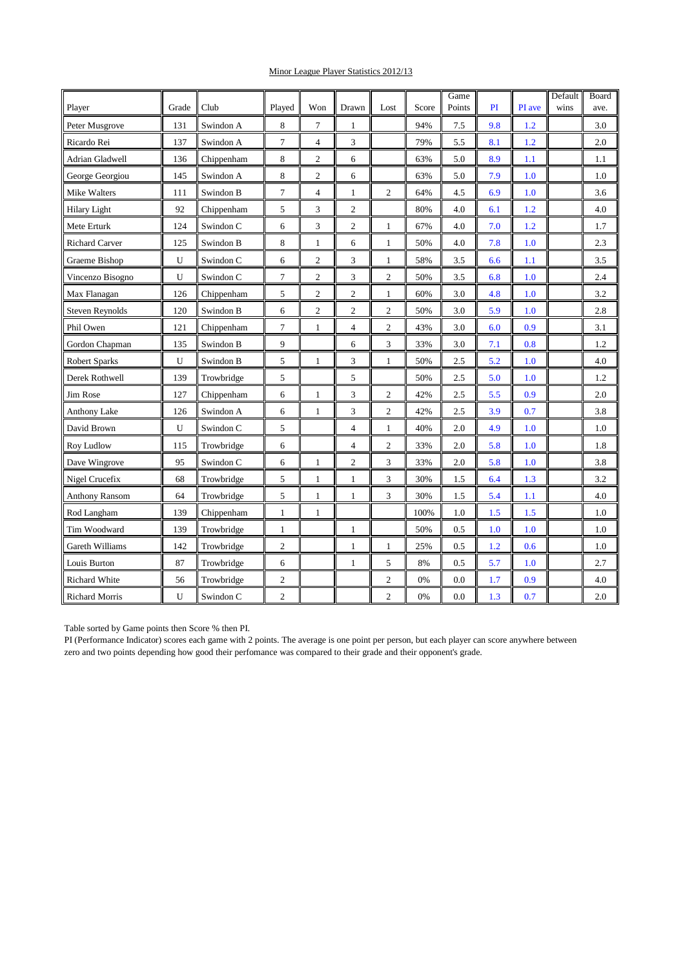## Minor League Player Statistics 2012/13

| Player                 | Grade | Club       | Played         | Won            | Drawn          | Lost           | Score | Game<br>Points | PI  | PI ave | Default<br>wins | Board<br>ave. |
|------------------------|-------|------------|----------------|----------------|----------------|----------------|-------|----------------|-----|--------|-----------------|---------------|
| Peter Musgrove         | 131   | Swindon A  | 8              | 7              | 1              |                | 94%   | 7.5            | 9.8 | 1.2    |                 | 3.0           |
| Ricardo Rei            | 137   | Swindon A  | $\overline{7}$ | $\overline{4}$ | 3              |                | 79%   | 5.5            | 8.1 | 1.2    |                 | 2.0           |
| <b>Adrian Gladwell</b> | 136   | Chippenham | 8              | 2              | 6              |                | 63%   | 5.0            | 8.9 | 1.1    |                 | 1.1           |
| George Georgiou        | 145   | Swindon A  | 8              | $\overline{c}$ | 6              |                | 63%   | 5.0            | 7.9 | 1.0    |                 | 1.0           |
| Mike Walters           | 111   | Swindon B  | 7              | $\overline{4}$ | 1              | 2              | 64%   | 4.5            | 6.9 | 1.0    |                 | 3.6           |
| <b>Hilary Light</b>    | 92    | Chippenham | 5              | 3              | $\overline{c}$ |                | 80%   | 4.0            | 6.1 | 1.2    |                 | 4.0           |
| Mete Erturk            | 124   | Swindon C  | 6              | 3              | $\overline{2}$ | 1              | 67%   | 4.0            | 7.0 | 1.2    |                 | 1.7           |
| <b>Richard Carver</b>  | 125   | Swindon B  | 8              | 1              | 6              | 1              | 50%   | 4.0            | 7.8 | 1.0    |                 | 2.3           |
| Graeme Bishop          | U     | Swindon C  | 6              | $\overline{c}$ | 3              | 1              | 58%   | 3.5            | 6.6 | 1.1    |                 | 3.5           |
| Vincenzo Bisogno       | U     | Swindon C  | 7              | $\overline{c}$ | 3              | $\overline{c}$ | 50%   | 3.5            | 6.8 | 1.0    |                 | 2.4           |
| Max Flanagan           | 126   | Chippenham | 5              | $\overline{c}$ | 2              | 1              | 60%   | 3.0            | 4.8 | 1.0    |                 | 3.2           |
| <b>Steven Reynolds</b> | 120   | Swindon B  | 6              | $\overline{c}$ | $\overline{c}$ | 2              | 50%   | 3.0            | 5.9 | 1.0    |                 | 2.8           |
| Phil Owen              | 121   | Chippenham | 7              | $\mathbf{1}$   | $\overline{4}$ | $\overline{c}$ | 43%   | 3.0            | 6.0 | 0.9    |                 | 3.1           |
| Gordon Chapman         | 135   | Swindon B  | 9              |                | 6              | 3              | 33%   | 3.0            | 7.1 | 0.8    |                 | 1.2           |
| <b>Robert Sparks</b>   | U     | Swindon B  | 5              | $\mathbf{1}$   | 3              | 1              | 50%   | 2.5            | 5.2 | 1.0    |                 | 4.0           |
| Derek Rothwell         | 139   | Trowbridge | 5              |                | 5              |                | 50%   | 2.5            | 5.0 | 1.0    |                 | 1.2           |
| Jim Rose               | 127   | Chippenham | 6              | $\mathbf{1}$   | 3              | 2              | 42%   | 2.5            | 5.5 | 0.9    |                 | 2.0           |
| <b>Anthony Lake</b>    | 126   | Swindon A  | 6              | $\mathbf{1}$   | 3              | $\overline{c}$ | 42%   | 2.5            | 3.9 | 0.7    |                 | 3.8           |
| David Brown            | U     | Swindon C  | 5              |                | $\overline{4}$ | 1              | 40%   | 2.0            | 4.9 | 1.0    |                 | 1.0           |
| Roy Ludlow             | 115   | Trowbridge | 6              |                | 4              | 2              | 33%   | 2.0            | 5.8 | 1.0    |                 | 1.8           |
| Dave Wingrove          | 95    | Swindon C  | 6              | $\mathbf{1}$   | $\overline{c}$ | 3              | 33%   | 2.0            | 5.8 | 1.0    |                 | 3.8           |
| Nigel Crucefix         | 68    | Trowbridge | 5              | $\mathbf{1}$   | $\mathbf{1}$   | 3              | 30%   | 1.5            | 6.4 | 1.3    |                 | 3.2           |
| <b>Anthony Ransom</b>  | 64    | Trowbridge | 5              | $\mathbf{1}$   | $\mathbf{1}$   | 3              | 30%   | 1.5            | 5.4 | 1.1    |                 | 4.0           |
| Rod Langham            | 139   | Chippenham | 1              | 1              |                |                | 100%  | 1.0            | 1.5 | 1.5    |                 | 1.0           |
| Tim Woodward           | 139   | Trowbridge | 1              |                | 1              |                | 50%   | 0.5            | 1.0 | 1.0    |                 | 1.0           |
| Gareth Williams        | 142   | Trowbridge | $\overline{c}$ |                | $\mathbf{1}$   | 1              | 25%   | 0.5            | 1.2 | 0.6    |                 | 1.0           |
| Louis Burton           | 87    | Trowbridge | 6              |                | 1              | 5              | 8%    | 0.5            | 5.7 | 1.0    |                 | 2.7           |
| <b>Richard White</b>   | 56    | Trowbridge | $\overline{c}$ |                |                | 2              | 0%    | 0.0            | 1.7 | 0.9    |                 | 4.0           |
| <b>Richard Morris</b>  | U     | Swindon C  | $\overline{c}$ |                |                | $\overline{2}$ | 0%    | 0.0            | 1.3 | 0.7    |                 | 2.0           |

Table sorted by Game points then Score % then PI.

PI (Performance Indicator) scores each game with 2 points. The average is one point per person, but each player can score anywhere between zero and two points depending how good their perfomance was compared to their grade and their opponent's grade.